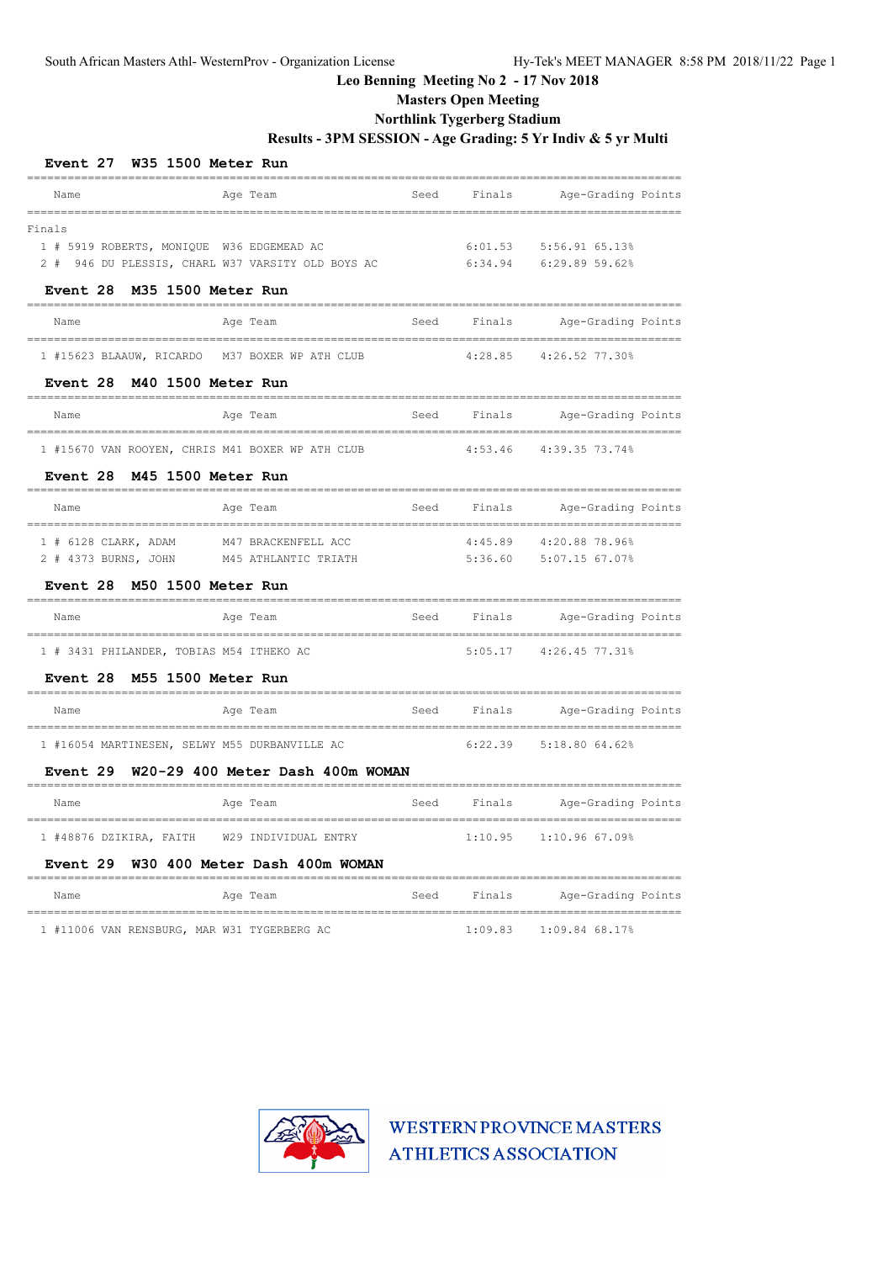**Masters Open Meeting**

## **Northlink Tygerberg Stadium**

## **Results - 3PM SESSION - Age Grading: 5 Yr Indiv & 5 yr Multi**

| Event 27                                         | W35 1500 Meter Run                                |      |         |                                                                            |
|--------------------------------------------------|---------------------------------------------------|------|---------|----------------------------------------------------------------------------|
| Name                                             | Age Team                                          | Seed | Finals  | Age-Grading Points                                                         |
| Finals                                           |                                                   |      |         |                                                                            |
| 1 # 5919 ROBERTS, MONIQUE W36 EDGEMEAD AC        |                                                   |      | 6:01.53 | 5:56.91 65.13%                                                             |
|                                                  | 2 # 946 DU PLESSIS, CHARL W37 VARSITY OLD BOYS AC |      | 6:34.94 | 6:29.89 59.62%                                                             |
| M35 1500 Meter Run<br><b>Event 28</b>            |                                                   |      |         |                                                                            |
| Name                                             | Age Team                                          | Seed | Finals  | Age-Grading Points                                                         |
| 1 #15623 BLAAUW, RICARDO                         | M37 BOXER WP ATH CLUB                             |      | 4:28.85 | 4:26.52 77.30%                                                             |
| M40 1500 Meter Run<br>Event 28                   | ______________________________________            |      |         |                                                                            |
| Name<br>=================================        | Age Team                                          | Seed | Finals  | Age-Grading Points                                                         |
| 1 #15670 VAN ROOYEN, CHRIS M41 BOXER WP ATH CLUB |                                                   |      | 4:53.46 | 4:39.35 73.74%                                                             |
| Event 28                                         | M45 1500 Meter Run                                |      |         |                                                                            |
| Name                                             | Age Team                                          | Seed | Finals  | Age-Grading Points                                                         |
| 1 # 6128 CLARK, ADAM                             | M47 BRACKENFELL ACC                               |      | 4:45.89 | 4:20.88 78.96%                                                             |
| 2 # 4373 BURNS, JOHN                             | M45 ATHLANTIC TRIATH                              |      | 5:36.60 | 5:07.15 67.07%                                                             |
| <b>Event 28</b>                                  | M50 1500 Meter Run                                |      |         |                                                                            |
| Name                                             | Age Team                                          | Seed | Finals  | Age-Grading Points<br><u> De la componición de la componición de la co</u> |
| 1 # 3431 PHILANDER, TOBIAS M54 ITHEKO AC         |                                                   |      | 5:05.17 | 4:26.45 77.31%                                                             |
| M55 1500 Meter Run<br><b>Event 28</b><br>------  |                                                   |      |         |                                                                            |
| Name                                             | Age Team                                          | Seed | Finals  | Age-Grading Points                                                         |
| 1 #16054 MARTINESEN, SELWY M55 DURBANVILLE AC    |                                                   |      | 6:22.39 | 5:18.80 64.62%                                                             |
|                                                  | Event 29 W20-29 400 Meter Dash 400m WOMAN         |      |         |                                                                            |
| Name                                             | Age Team                                          | Seed | Finals  | Age-Grading Points                                                         |
| 1 #48876 DZIKIRA, FAITH W29 INDIVIDUAL ENTRY     |                                                   |      | 1:10.95 | 1:10.96 67.09%                                                             |
| Event 29<br>=======                              | W30 400 Meter Dash 400m WOMAN                     |      |         |                                                                            |
| Name                                             | Age Team                                          | Seed | Finals  | Age-Grading Points                                                         |
| 1 #11006 VAN RENSBURG, MAR W31 TYGERBERG AC      |                                                   |      | 1:09.83 | 1:09.84 68.17%                                                             |

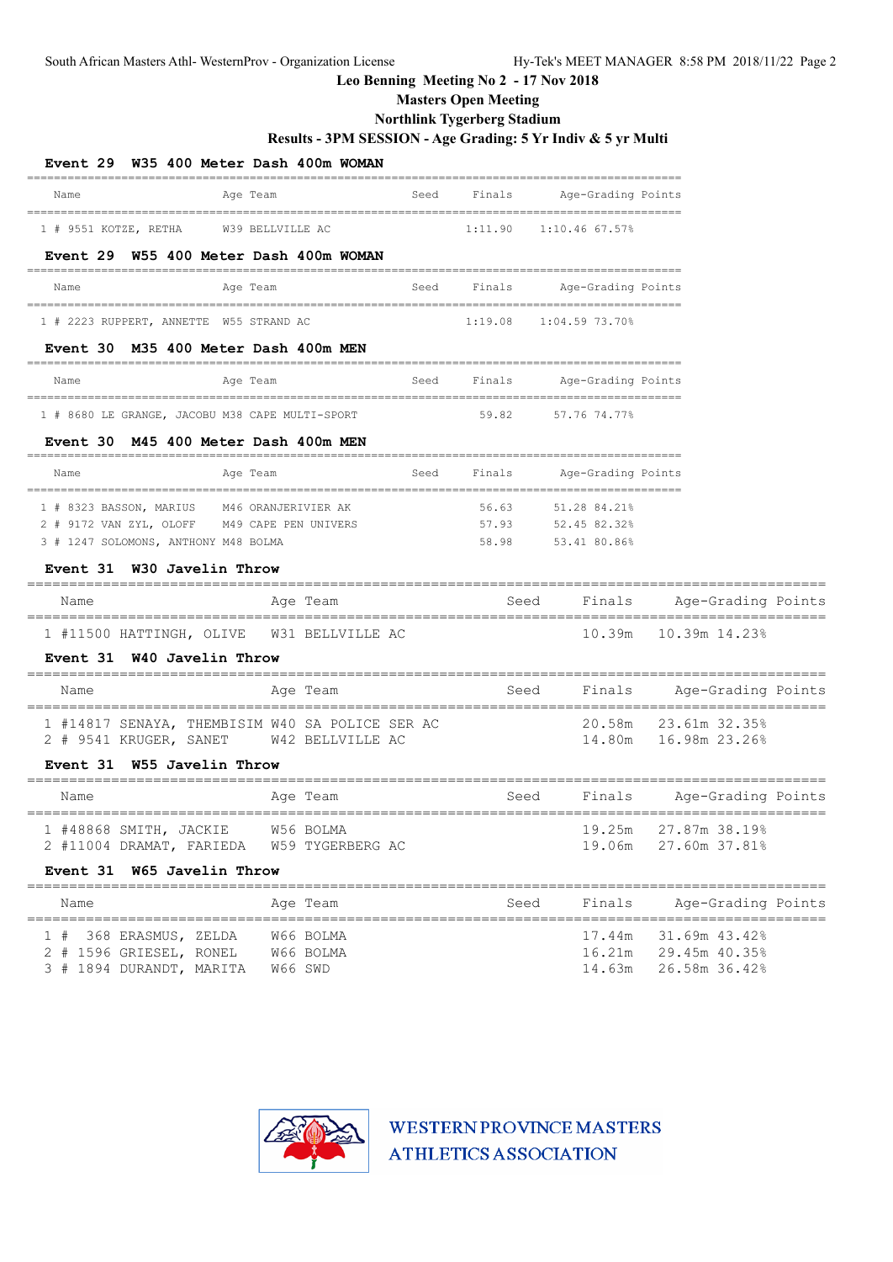## **Masters Open Meeting**

## **Northlink Tygerberg Stadium**

### **Results - 3PM SESSION - Age Grading: 5 Yr Indiv & 5 yr Multi**

| Event 29 W35 400 Meter Dash 400m WOMAN          |                  |                |                    |                                        |       |
|-------------------------------------------------|------------------|----------------|--------------------|----------------------------------------|-------|
| Age Team<br>Name                                |                  | Seed<br>Finals | Age-Grading Points |                                        |       |
| W39 BELLVILLE AC<br>1 # 9551 KOTZE, RETHA       |                  | 1:11.90        | $1:10.46$ 67.57%   |                                        |       |
| Event 29 W55 400 Meter Dash 400m WOMAN          |                  |                |                    |                                        |       |
| Age Team<br>Name                                |                  | Finals<br>Seed | Age-Grading Points |                                        |       |
| 1 # 2223 RUPPERT, ANNETTE W55 STRAND AC         |                  | 1:19.08        | 1:04.59 73.70%     |                                        |       |
| Event 30 M35 400 Meter Dash 400m MEN            |                  |                |                    |                                        |       |
| Age Team<br>Name                                |                  | Seed<br>Finals | Age-Grading Points |                                        |       |
| 1 # 8680 LE GRANGE, JACOBU M38 CAPE MULTI-SPORT |                  | 59.82          | 57.76 74.77%       |                                        |       |
| Event 30 M45 400 Meter Dash 400m MEN            |                  |                |                    |                                        |       |
| Name<br>Age Team                                |                  | Seed<br>Finals | Age-Grading Points |                                        |       |
| 1 # 8323 BASSON, MARIUS M46 ORANJERIVIER AK     |                  | 56.63          | 51.28 84.21%       |                                        |       |
| 2 # 9172 VAN ZYL, OLOFF M49 CAPE PEN UNIVERS    |                  |                | 57.93 52.45 82.32% |                                        |       |
| 3 # 1247 SOLOMONS, ANTHONY M48 BOLMA            |                  | 58.98          | 53.41 80.86%       |                                        |       |
| Event 31 W30 Javelin Throw                      |                  |                |                    |                                        |       |
| Name                                            | Age Team         |                | Seed<br>Finals     | Age-Grading Points                     |       |
| 1 #11500 HATTINGH, OLIVE W31 BELLVILLE AC       |                  |                |                    | 10.39m   10.39m   14.23%               |       |
| Event 31 W40 Javelin Throw                      |                  |                |                    |                                        |       |
| Name                                            | Age Team         |                | Seed<br>Finals     | Age-Grading Points<br>________________ |       |
| 1 #14817 SENAYA, THEMBISIM W40 SA POLICE SER AC |                  |                |                    | 20.58m 23.61m 32.35%                   |       |
| 2 # 9541 KRUGER, SANET W42 BELLVILLE AC         |                  |                |                    | 14.80m 16.98m 23.26%                   |       |
| Event 31 W55 Javelin Throw                      |                  |                |                    |                                        |       |
| Name                                            | Age Team         |                | Seed               | Finals Age-Grading Points              |       |
| 1 #48868 SMITH, JACKIE                          | W56 BOLMA        |                | 19.25m             | 27.87m 38.19%                          |       |
| 2 #11004 DRAMAT, FARIEDA                        | W59 TYGERBERG AC |                | 19.06m             | 27.60m 37.81%                          |       |
| Event 31 W65 Javelin Throw                      |                  |                |                    |                                        | ===== |
| Name                                            | Age Team         |                | Finals<br>Seed     | Age-Grading Points                     |       |
| 1 # 368 ERASMUS, ZELDA                          | W66 BOLMA        |                | 17.44m             | 31.69m 43.42%                          |       |
| 2 # 1596 GRIESEL, RONEL                         | W66 BOLMA        |                | 16.21m             | 29.45m 40.35%                          |       |
| 3 # 1894 DURANDT, MARITA                        | W66 SWD          |                | 14.63m             | 26.58m 36.42%                          |       |

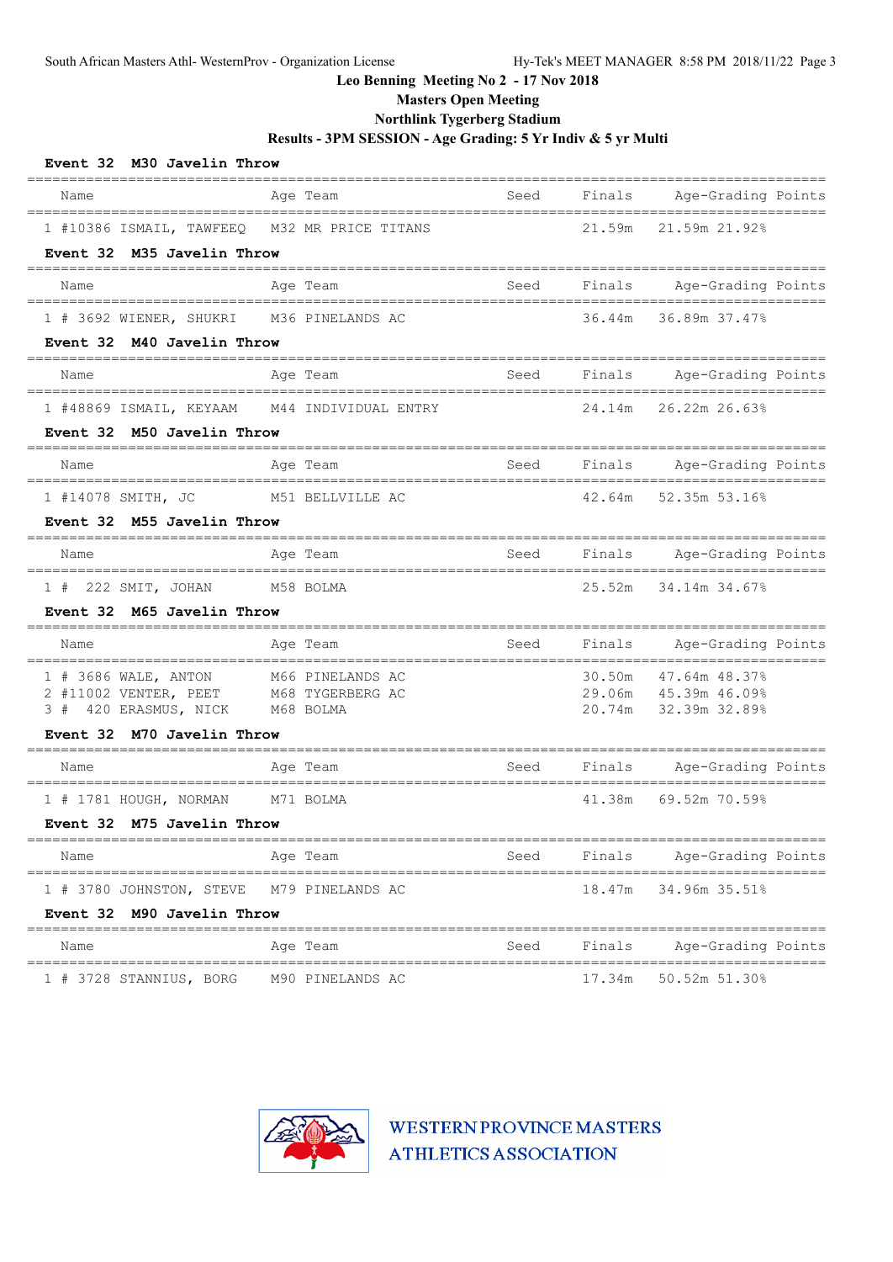**Masters Open Meeting**

## **Northlink Tygerberg Stadium**

**Results - 3PM SESSION - Age Grading: 5 Yr Indiv & 5 yr Multi**

| Event 32 M30 Javelin Throw                     |                               |      |        |                                              |
|------------------------------------------------|-------------------------------|------|--------|----------------------------------------------|
| Name                                           | Age Team                      | Seed | Finals | Age-Grading Points                           |
| 1 #10386 ISMAIL, TAWFEEQ                       | M32 MR PRICE TITANS           |      | 21.59m | 21.59m 21.92%                                |
| Event 32 M35 Javelin Throw                     |                               |      |        |                                              |
| Name                                           | Age Team                      | Seed | Finals | Age-Grading Points                           |
| 1 # 3692 WIENER, SHUKRI                        | M36 PINELANDS AC              |      | 36.44m | 36.89m 37.47%                                |
| Event 32 M40 Javelin Throw                     |                               |      |        |                                              |
| Name                                           | Age Team                      | Seed | Finals | Age-Grading Points                           |
| 1 #48869 ISMAIL, KEYAAM                        | M44 INDIVIDUAL ENTRY          |      | 24.14m | 26.22m 26.63%                                |
| Event 32 M50 Javelin Throw                     |                               |      |        |                                              |
| Name                                           | Age Team                      | Seed | Finals | Age-Grading Points                           |
| 1 #14078 SMITH, JC                             | M51 BELLVILLE AC              |      | 42.64m | 52.35m 53.16%                                |
| Event 32 M55 Javelin Throw                     |                               |      |        |                                              |
| Name                                           | Age Team                      | Seed | Finals | Age-Grading Points                           |
| 1 # 222 SMIT, JOHAN M58 BOLMA                  |                               |      | 25.52m | 34.14m 34.67%                                |
| Event 32 M65 Javelin Throw                     |                               |      |        |                                              |
| Name                                           | Age Team                      | Seed | Finals | Age-Grading Points                           |
| 1 # 3686 WALE, ANTON                           | M66 PINELANDS AC              |      | 30.50m | 47.64m 48.37%                                |
| 2 #11002 VENTER, PEET<br>3 # 420 ERASMUS, NICK | M68 TYGERBERG AC<br>M68 BOLMA |      |        | 29.06m 45.39m 46.09%<br>20.74m 32.39m 32.89% |
| Event 32 M70 Javelin Throw                     |                               |      |        |                                              |
| Name                                           | Age Team                      | Seed | Finals | Age-Grading Points                           |
| 1 # 1781 HOUGH, NORMAN                         | M71 BOLMA                     |      | 41.38m | 69.52m 70.59%                                |
| Event 32 M75 Javelin Throw                     |                               |      |        |                                              |
| Name                                           | Age Team                      | Seed | Finals | Age-Grading Points                           |
| 1 # 3780 JOHNSTON, STEVE                       | M79 PINELANDS AC              |      | 18.47m | 34.96m 35.51%                                |
| Event 32 M90 Javelin Throw                     |                               |      |        |                                              |
| Name                                           | Age Team                      | Seed | Finals | Age-Grading Points                           |
| 1 # 3728 STANNIUS, BORG                        | M90 PINELANDS AC              |      | 17.34m | 50.52m 51.30%                                |

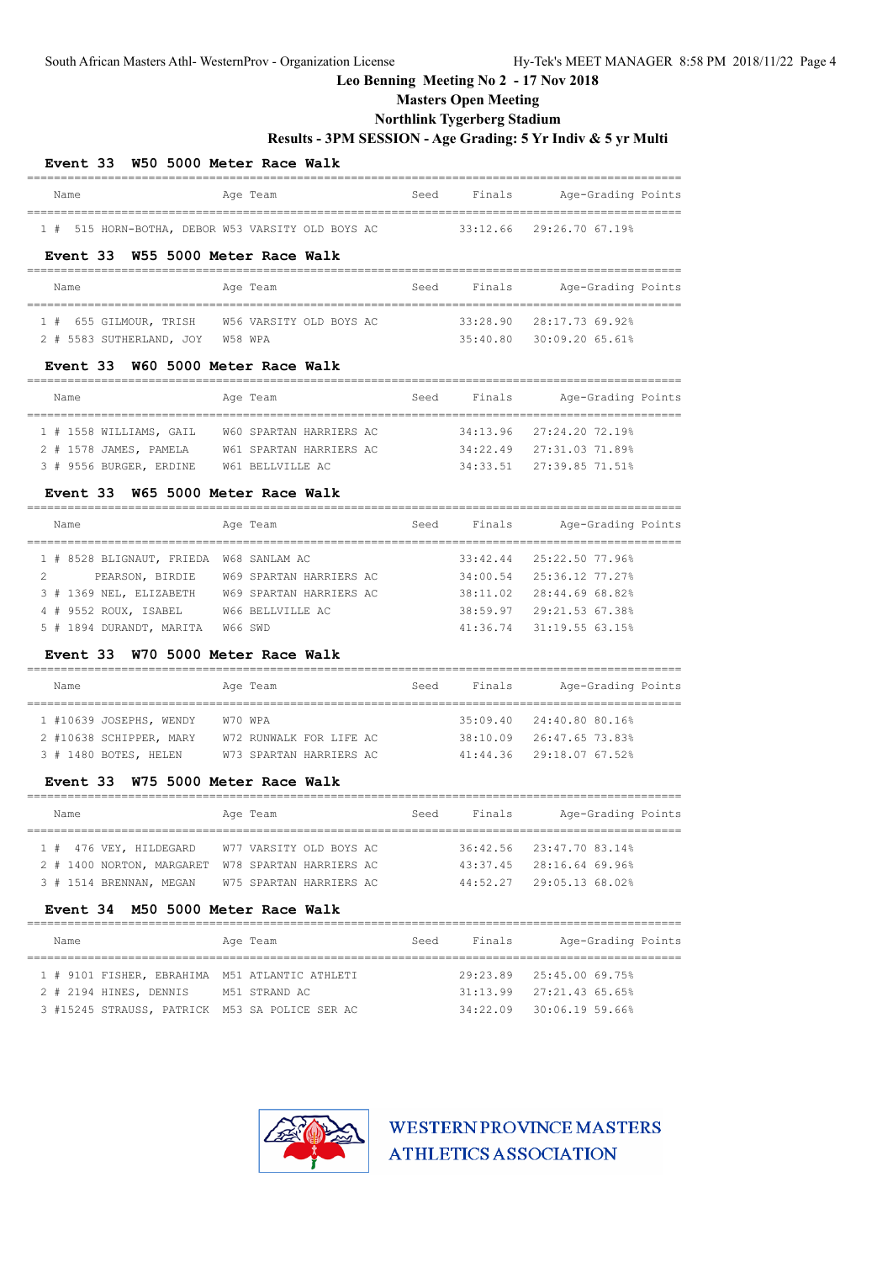### **Masters Open Meeting**

## **Northlink Tygerberg Stadium**

## **Results - 3PM SESSION - Age Grading: 5 Yr Indiv & 5 yr Multi**

=================================================================================================

### **Event 33 W50 5000 Meter Race Walk**

| Name |                                                   |  | Age Team |  |  | Seed | Finals |                             | Age-Grading Points |  |
|------|---------------------------------------------------|--|----------|--|--|------|--------|-----------------------------|--------------------|--|
|      |                                                   |  |          |  |  |      |        |                             |                    |  |
|      | 1 # 515 HORN-BOTHA, DEBOR W53 VARSITY OLD BOYS AC |  |          |  |  |      |        | $33:12.66$ $29:26.70.67.19$ |                    |  |

#### **Event 33 W55 5000 Meter Race Walk**

| Name                             | Age Team                                       | Seed | Finals | Age-Grading Points           |
|----------------------------------|------------------------------------------------|------|--------|------------------------------|
|                                  | 1 # 655 GILMOUR, TRISH W56 VARSITY OLD BOYS AC |      |        | $33:28.90$ $28:17.7369.928$  |
| 2 # 5583 SUTHERLAND, JOY W58 WPA |                                                |      |        | $35:40.80$ $30:09.20$ 65.61% |

### **Event 33 W60 5000 Meter Race Walk**

| Name                    | Age Team                | Seed | Finals | Age-Grading Points           |
|-------------------------|-------------------------|------|--------|------------------------------|
|                         |                         |      |        |                              |
| 1 # 1558 WILLIAMS, GAIL | W60 SPARTAN HARRIERS AC |      |        | $34:13.96$ $27:24.20$ 72.19% |
| 2 # 1578 JAMES, PAMELA  | W61 SPARTAN HARRIERS AC |      |        | $34:22.49$ $27:31.03$ 71.89% |
| 3 # 9556 BURGER, ERDINE | W61 BELLVILLE AC        |      |        | $34:33.51$ $27:39.85$ 71.51% |

### **Event 33 W65 5000 Meter Race Walk**

| Name                                    | Age Team                | Finals<br>Seed | Age-Grading Points       |
|-----------------------------------------|-------------------------|----------------|--------------------------|
| 1 # 8528 BLIGNAUT, FRIEDA W68 SANLAM AC |                         |                | 33:42.44 25:22.50 77.96% |
| 2<br>PEARSON, BIRDIE                    | W69 SPARTAN HARRIERS AC |                | 34:00.54 25:36.12 77.27% |
| 3 # 1369 NEL. ELIZABETH                 | W69 SPARTAN HARRIERS AC |                | 38:11.02 28:44.69 68.82% |
| 4 # 9552 ROUX, ISABEL                   | W66 BELLVILLE AC        | 38:59.97       | 29:21.53 67.38%          |
| 5 # 1894 DURANDT, MARITA                | W66 SWD                 |                | 41:36.74 31:19.55 63.15% |

### **Event 33 W70 5000 Meter Race Walk**

| Name                    | Age Team                | Seed | Finals | Age-Grading Points                |
|-------------------------|-------------------------|------|--------|-----------------------------------|
| 1 #10639 JOSEPHS, WENDY | W70 WPA                 |      |        | $35:09.40$ $24:40.80$ $80.16$ $8$ |
| 2 #10638 SCHIPPER, MARY | W72 RUNWALK FOR LIFE AC |      |        | 38:10.09 26:47.65 73.83%          |
| 3 # 1480 BOTES, HELEN   | W73 SPARTAN HARRIERS AC |      |        | $41:44.36$ $29:18.0767.52$        |

#### **Event 33 W75 5000 Meter Race Walk**

|  | Name                                              | Age Team |                         | Seed | Finals | Age-Grading Points           |
|--|---------------------------------------------------|----------|-------------------------|------|--------|------------------------------|
|  | 1 # 476 VEY, HILDEGARD W77 VARSITY OLD BOYS AC    |          |                         |      |        | 36:42.56 23:47.70 83.14%     |
|  | 2 # 1400 NORTON, MARGARET W78 SPARTAN HARRIERS AC |          |                         |      |        | $43:37.45$ $28:16.64$ 69.96% |
|  | 3 # 1514 BRENNAN, MEGAN                           |          | W75 SPARTAN HARRIERS AC |      |        | $44:52.27$ $29:05.1368.028$  |

### **Event 34 M50 5000 Meter Race Walk**

| Name                                           | Age Team      | Seed | Finals                       | Age-Grading Points |
|------------------------------------------------|---------------|------|------------------------------|--------------------|
| 1 # 9101 FISHER, EBRAHIMA M51 ATLANTIC ATHLETI |               |      | 29:23.89 25:45.00 69.75%     |                    |
| 2 # 2194 HINES, DENNIS                         | M51 STRAND AC |      | $31:13.99$ $27:21.4365.65$   |                    |
| 3 #15245 STRAUSS, PATRICK M53 SA POLICE SER AC |               |      | $34:22.09$ $30:06.19$ 59.66% |                    |

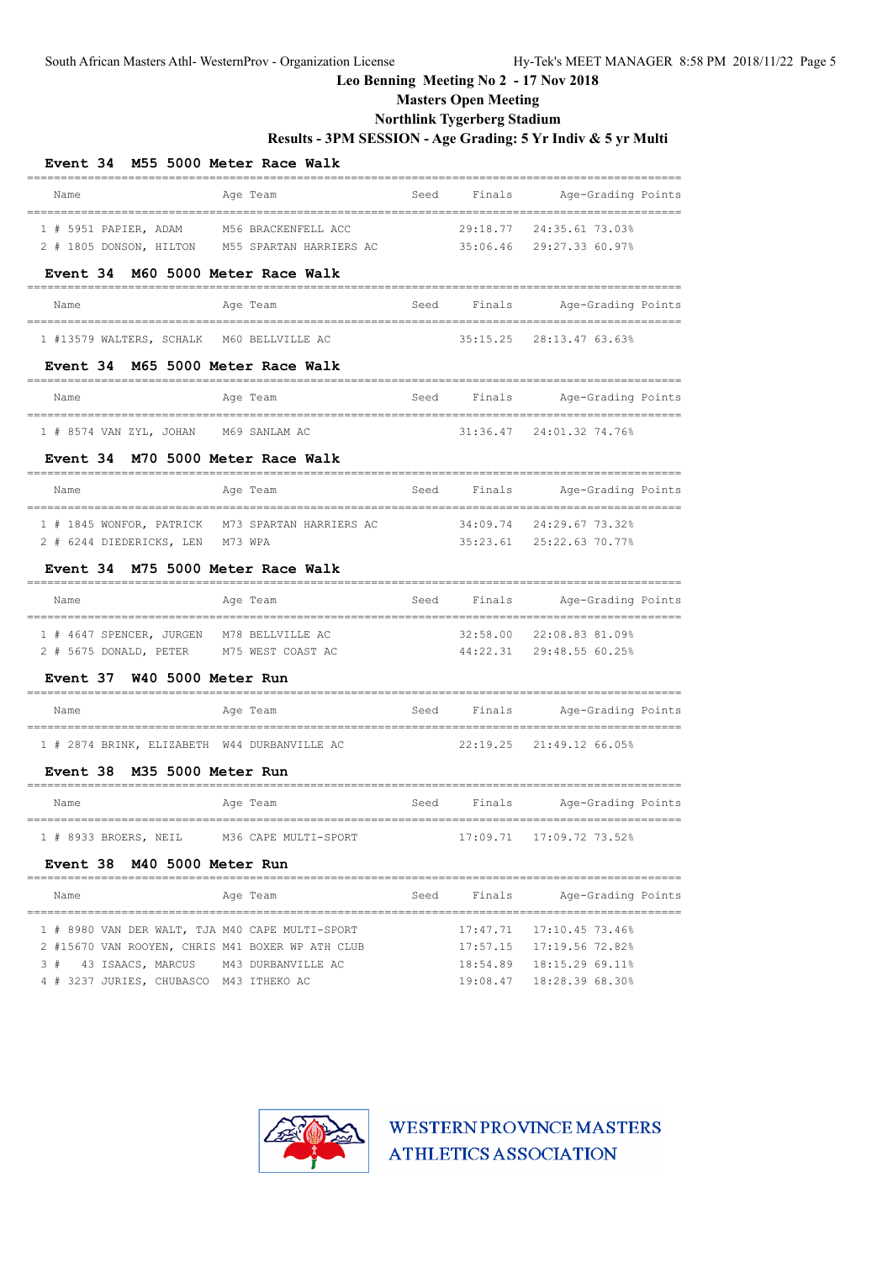# **Masters Open Meeting**

## **Northlink Tygerberg Stadium**

## **Results - 3PM SESSION - Age Grading: 5 Yr Indiv & 5 yr Multi**

| Event 34 M55 5000 Meter Race Walk                                        |                                             |      |                      |                                    |  |
|--------------------------------------------------------------------------|---------------------------------------------|------|----------------------|------------------------------------|--|
| Name                                                                     | Age Team                                    | Seed | Finals               | Age-Grading Points                 |  |
| 1 # 5951 PAPIER, ADAM<br>2 # 1805 DONSON, HILTON M55 SPARTAN HARRIERS AC | M56 BRACKENFELL ACC                         |      | 29:18.77<br>35:06.46 | 24:35.61 73.03%<br>29:27.33 60.97% |  |
| Event 34 M60 5000 Meter Race Walk                                        |                                             |      |                      |                                    |  |
| Name<br>--------------------------------                                 | Age Team<br>------------------------------- | Seed | Finals               | Age-Grading Points                 |  |
| 1 #13579 WALTERS, SCHALK M60 BELLVILLE AC                                |                                             |      | 35:15.25             | 28:13.47 63.63%                    |  |
| Event 34 M65 5000 Meter Race Walk                                        |                                             |      |                      |                                    |  |
| Name                                                                     | Age Team                                    | Seed | Finals               | Age-Grading Points                 |  |
| 1 # 8574 VAN ZYL, JOHAN                                                  | M69 SANLAM AC                               |      | 31:36.47             | 24:01.32 74.76%                    |  |
| Event 34 M70 5000 Meter Race Walk                                        |                                             |      |                      |                                    |  |
| Name                                                                     | Age Team                                    |      | Seed Finals          | Age-Grading Points                 |  |
| 1 # 1845 WONFOR, PATRICK                                                 | M73 SPARTAN HARRIERS AC                     |      | 34:09.74             | 24:29.67 73.32%                    |  |
| 2 # 6244 DIEDERICKS, LEN                                                 | M73 WPA                                     |      | 35:23.61             | 25:22.63 70.77%                    |  |
| Event 34 M75 5000 Meter Race Walk                                        |                                             |      |                      |                                    |  |
| Name                                                                     | Age Team                                    | Seed | Finals               | Age-Grading Points                 |  |
| 1 # 4647 SPENCER, JURGEN                                                 | M78 BELLVILLE AC                            |      | 32:58.00             | 22:08.83 81.09%                    |  |
| 2 # 5675 DONALD, PETER M75 WEST COAST AC                                 |                                             |      | 44:22.31             | 29:48.55 60.25%                    |  |
| W40 5000 Meter Run<br><b>Event 37</b>                                    |                                             |      |                      |                                    |  |
| Name                                                                     | Age Team                                    | Seed | Finals               | Age-Grading Points                 |  |
| 1 # 2874 BRINK, ELIZABETH W44 DURBANVILLE AC                             |                                             |      | 22:19.25             | 21:49.12 66.05%                    |  |
| Event 38 M35 5000 Meter Run                                              |                                             |      |                      |                                    |  |
| Name                                                                     | Age Team                                    | Seed | Finals               | Age-Grading Points                 |  |
| 1 # 8933 BROERS, NEIL M36 CAPE MULTI-SPORT                               |                                             |      |                      | 17:09.71  17:09.72  73.52%         |  |
| M40 5000 Meter Run<br><b>Event 38</b><br>_______________________         |                                             |      |                      |                                    |  |
| Name                                                                     | Age Team                                    | Seed | Finals               | Age-Grading Points                 |  |
|                                                                          |                                             |      |                      |                                    |  |

|  |                                         | 1 # 8980 VAN DER WALT, TJA M40 CAPE MULTI-SPORT  | $17:47.71$ $17:10.45$ $73.46\%$ |
|--|-----------------------------------------|--------------------------------------------------|---------------------------------|
|  |                                         | 2 #15670 VAN ROOYEN, CHRIS M41 BOXER WP ATH CLUB | 17:57.15  17:19.56  72.82%      |
|  |                                         | 3 # 43 ISAACS, MARCUS M43 DURBANVILLE AC         | $18:54.89$ $18:15.2969.118$     |
|  | 4 # 3237 JURIES, CHUBASCO M43 ITHEKO AC |                                                  | 19:08.47  18:28.39  68.30%      |

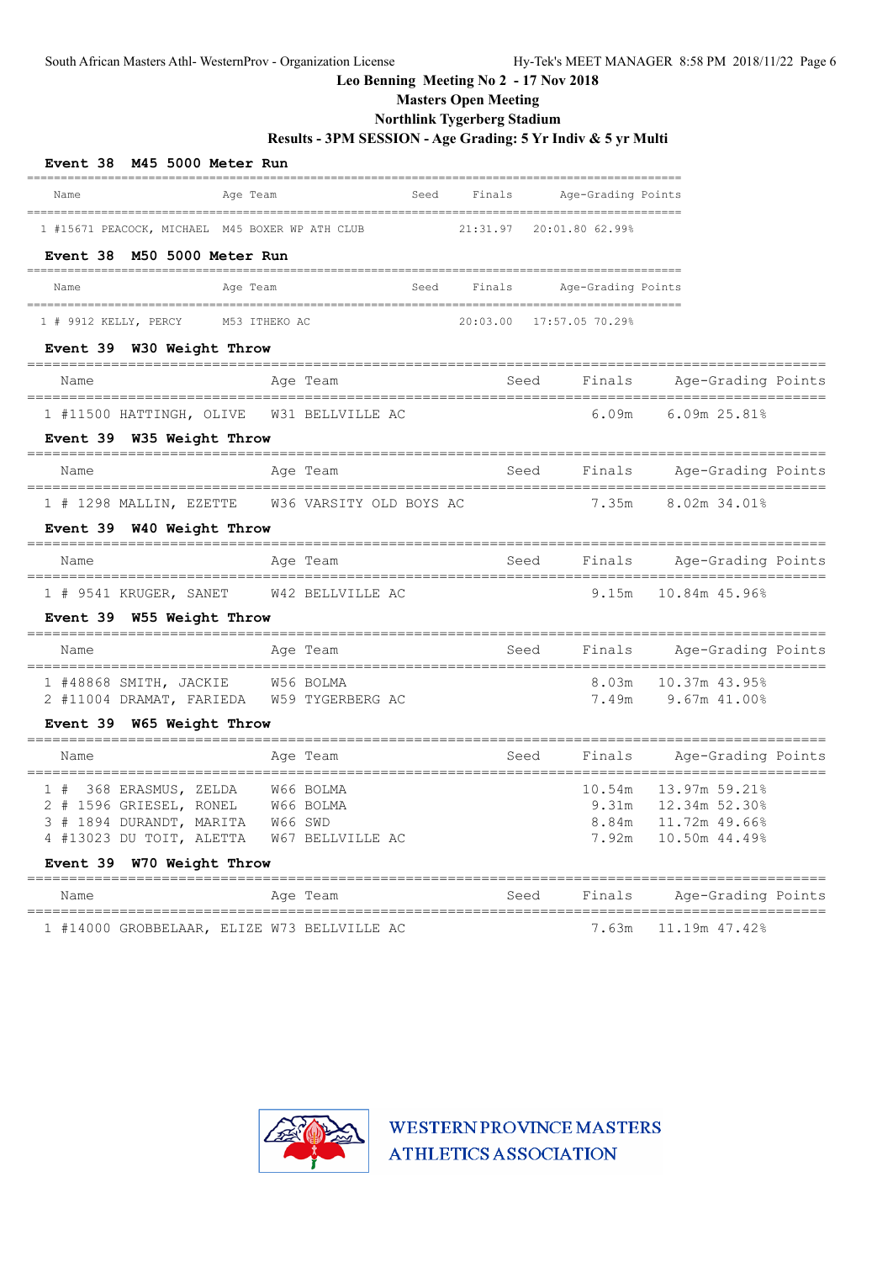# **Masters Open Meeting**

## **Northlink Tygerberg Stadium**

## **Results - 3PM SESSION - Age Grading: 5 Yr Indiv & 5 yr Multi**

| Event 38 M45 5000 Meter Run                                               |                         |      |          |                    |  |                    |  |
|---------------------------------------------------------------------------|-------------------------|------|----------|--------------------|--|--------------------|--|
| Name<br>Age Team<br>_______________________<br>__________________________ |                         | Seed | Finals   | Age-Grading Points |  |                    |  |
| 1 #15671 PEACOCK, MICHAEL M45 BOXER WP ATH CLUB                           |                         |      | 21:31.97 | 20:01.80 62.99%    |  |                    |  |
| Event 38 M50 5000 Meter Run<br>--------                                   |                         |      |          |                    |  |                    |  |
| Age Team<br>Name                                                          |                         | Seed | Finals   | Age-Grading Points |  |                    |  |
| $1$ # 9912 KELLY, PERCY                                                   | M53 ITHEKO AC           |      | 20:03.00 | 17:57.05 70.29%    |  |                    |  |
| Event 39 W30 Weight Throw                                                 |                         |      |          |                    |  |                    |  |
| Name                                                                      | Age Team                |      |          | Finals<br>Seed     |  | Age-Grading Points |  |
| 1 #11500 HATTINGH, OLIVE                                                  | W31 BELLVILLE AC        |      |          | 6.09m              |  | 6.09m 25.81%       |  |
| Event 39 W35 Weight Throw                                                 |                         |      |          |                    |  |                    |  |
| Name                                                                      | Age Team                |      | Seed     | Finals             |  | Age-Grading Points |  |
| 1 # 1298 MALLIN, EZETTE                                                   | W36 VARSITY OLD BOYS AC |      |          | 7.35m              |  | 8.02m 34.01%       |  |
| Event 39 W40 Weight Throw                                                 |                         |      |          |                    |  |                    |  |
| Name                                                                      | Age Team                |      |          | Seed<br>Finals     |  | Age-Grading Points |  |
| $1$ # 9541 KRUGER, SANET                                                  | W42 BELLVILLE AC        |      |          | 9.15m              |  | 10.84m 45.96%      |  |
| Event 39 W55 Weight Throw                                                 |                         |      |          |                    |  |                    |  |
| Name                                                                      | Age Team                |      |          | Finals<br>Seed     |  | Age-Grading Points |  |
| 1 #48868 SMITH, JACKIE                                                    | W56 BOLMA               |      |          | 8.03m              |  | 10.37m 43.95%      |  |
| 2 #11004 DRAMAT, FARIEDA                                                  | W59 TYGERBERG AC        |      |          | 7.49m              |  | $9.67m$ $41.00%$   |  |
| Event 39 W65 Weight Throw                                                 |                         |      |          |                    |  |                    |  |
| Name                                                                      | Age Team                |      |          | Seed<br>Finals     |  | Age-Grading Points |  |
| 1 # 368 ERASMUS, ZELDA                                                    | W66 BOLMA               |      |          | 10.54m             |  | 13.97m 59.21%      |  |
| 2 # 1596 GRIESEL, RONEL                                                   | W66 BOLMA               |      |          | 9.31m              |  | 12.34m 52.30%      |  |
| 3 # 1894 DURANDT, MARITA                                                  | W66 SWD                 |      |          | 8.84m              |  | 11.72m 49.66%      |  |
| 4 #13023 DU TOIT, ALETTA                                                  | W67 BELLVILLE AC        |      |          | 7.92m              |  | 10.50m 44.49%      |  |
| Event 39 W70 Weight Throw                                                 |                         |      |          |                    |  |                    |  |
| Name<br>================================                                  | Age Team                |      |          | Finals<br>Seed     |  | Age-Grading Points |  |
| 1 #14000 GROBBELAAR, ELIZE W73 BELLVILLE AC                               |                         |      |          | 7.63m              |  | 11.19m 47.42%      |  |